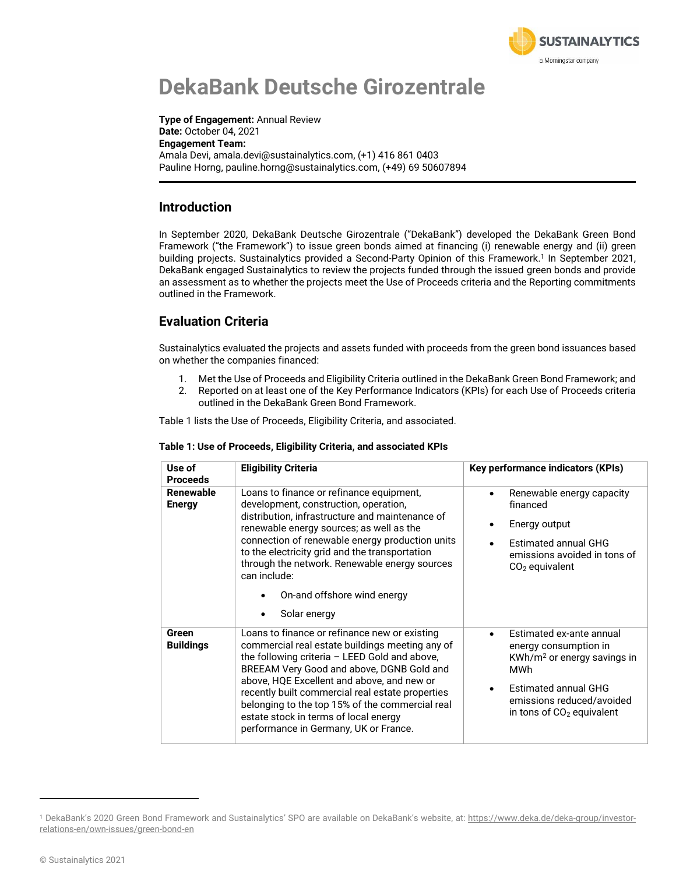

# **DekaBank Deutsche Girozentrale**

**Type of Engagement:** Annual Review **Date:** October 04, 2021 **Engagement Team:** Amala Devi, amala.devi@sustainalytics.com, (+1) 416 861 0403 Pauline Horng, pauline.horng@sustainalytics.com, (+49) 69 50607894

#### **Introduction**

In September 2020, DekaBank Deutsche Girozentrale ("DekaBank") developed the DekaBank Green Bond Framework ("the Framework") to issue green bonds aimed at financing (i) renewable energy and (ii) green building projects. Sustainalytics provided a Second-Party Opinion of this Framework. <sup>1</sup> In September 2021, DekaBank engaged Sustainalytics to review the projects funded through the issued green bonds and provide an assessment as to whether the projects meet the Use of Proceeds criteria and the Reporting commitments outlined in the Framework.

### **Evaluation Criteria**

Sustainalytics evaluated the projects and assets funded with proceeds from the green bond issuances based on whether the companies financed:

- 1. Met the Use of Proceeds and Eligibility Criteria outlined in the DekaBank Green Bond Framework; and
- 2. Reported on at least one of the Key Performance Indicators (KPIs) for each Use of Proceeds criteria outlined in the DekaBank Green Bond Framework.

Table 1 lists the Use of Proceeds, Eligibility Criteria, and associated.

| Use of<br><b>Proceeds</b>  | <b>Eligibility Criteria</b>                                                                                                                                                                                                                                                                                                                                                                                                           | <b>Key performance indicators (KPIs)</b>                                                                                                                                                |  |  |
|----------------------------|---------------------------------------------------------------------------------------------------------------------------------------------------------------------------------------------------------------------------------------------------------------------------------------------------------------------------------------------------------------------------------------------------------------------------------------|-----------------------------------------------------------------------------------------------------------------------------------------------------------------------------------------|--|--|
| Renewable<br><b>Energy</b> | Loans to finance or refinance equipment,<br>development, construction, operation,<br>distribution, infrastructure and maintenance of<br>renewable energy sources; as well as the<br>connection of renewable energy production units<br>to the electricity grid and the transportation<br>through the network. Renewable energy sources<br>can include:<br>On-and offshore wind energy<br>Solar energy                                 | Renewable energy capacity<br>financed<br>Energy output<br>Estimated annual GHG<br>emissions avoided in tons of<br>$CO2$ equivalent                                                      |  |  |
| Green<br><b>Buildings</b>  | Loans to finance or refinance new or existing<br>commercial real estate buildings meeting any of<br>the following criteria - LEED Gold and above,<br>BREEAM Very Good and above, DGNB Gold and<br>above, HQE Excellent and above, and new or<br>recently built commercial real estate properties<br>belonging to the top 15% of the commercial real<br>estate stock in terms of local energy<br>performance in Germany, UK or France. | Estimated ex-ante annual<br>energy consumption in<br>KWh/m <sup>2</sup> or energy savings in<br>MWh<br>Estimated annual GHG<br>emissions reduced/avoided<br>in tons of $CO2$ equivalent |  |  |

#### **Table 1: Use of Proceeds, Eligibility Criteria, and associated KPIs**

<sup>&</sup>lt;sup>1</sup> DekaBank's 2020 Green Bond Framework and Sustainalytics' SPO are available on DekaBank's website, at: [https://www.deka.de/deka-group/investor](https://www.deka.de/deka-group/investor-relations-en/own-issues/green-bond-en)[relations-en/own-issues/green-bond-en](https://www.deka.de/deka-group/investor-relations-en/own-issues/green-bond-en)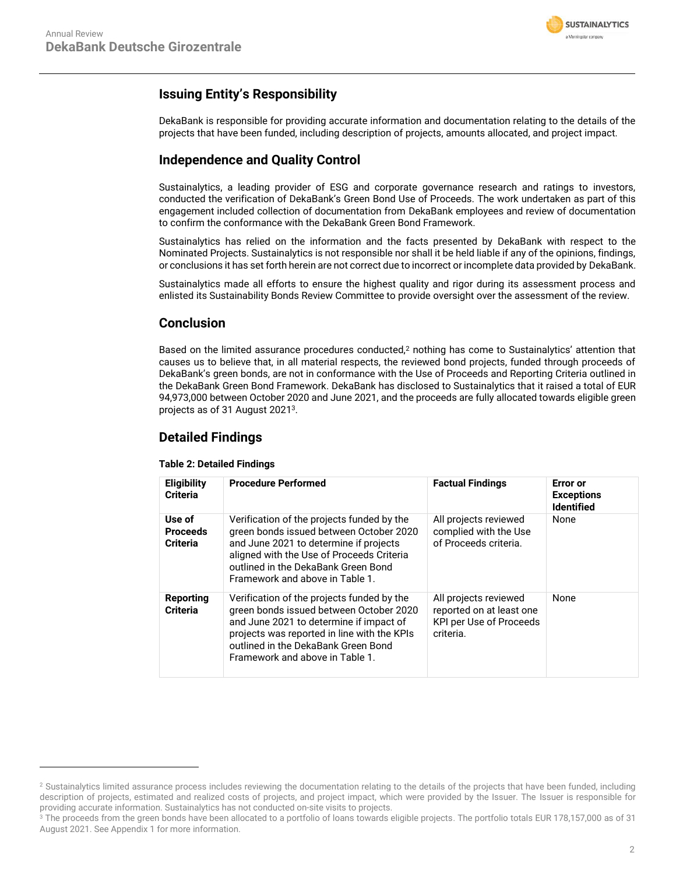

### **Issuing Entity's Responsibility**

DekaBank is responsible for providing accurate information and documentation relating to the details of the projects that have been funded, including description of projects, amounts allocated, and project impact.

#### **Independence and Quality Control**

Sustainalytics, a leading provider of ESG and corporate governance research and ratings to investors, conducted the verification of DekaBank's Green Bond Use of Proceeds. The work undertaken as part of this engagement included collection of documentation from DekaBank employees and review of documentation to confirm the conformance with the DekaBank Green Bond Framework.

Sustainalytics has relied on the information and the facts presented by DekaBank with respect to the Nominated Projects. Sustainalytics is not responsible nor shall it be held liable if any of the opinions, findings, or conclusions it has set forth herein are not correct due to incorrect or incomplete data provided by DekaBank.

Sustainalytics made all efforts to ensure the highest quality and rigor during its assessment process and enlisted its Sustainability Bonds Review Committee to provide oversight over the assessment of the review.

#### **Conclusion**

Based on the limited assurance procedures conducted,<sup>2</sup> nothing has come to Sustainalytics' attention that causes us to believe that, in all material respects, the reviewed bond projects, funded through proceeds of DekaBank's green bonds, are not in conformance with the Use of Proceeds and Reporting Criteria outlined in the DekaBank Green Bond Framework. DekaBank has disclosed to Sustainalytics that it raised a total of EUR 94,973,000 between October 2020 and June 2021, and the proceeds are fully allocated towards eligible green projects as of 31 August 2021<sup>3</sup>.

#### **Detailed Findings**

#### **Table 2: Detailed Findings**

| <b>Eligibility</b><br><b>Criteria</b>        | <b>Procedure Performed</b>                                                                                                                                                                                                                                                                                                        | <b>Factual Findings</b>                                                                   | <b>Error</b> or<br><b>Exceptions</b><br><b>Identified</b> |
|----------------------------------------------|-----------------------------------------------------------------------------------------------------------------------------------------------------------------------------------------------------------------------------------------------------------------------------------------------------------------------------------|-------------------------------------------------------------------------------------------|-----------------------------------------------------------|
| Use of<br><b>Proceeds</b><br><b>Criteria</b> | Verification of the projects funded by the<br>All projects reviewed<br>green bonds issued between October 2020<br>complied with the Use<br>of Proceeds criteria.<br>and June 2021 to determine if projects<br>aligned with the Use of Proceeds Criteria<br>outlined in the DekaBank Green Bond<br>Framework and above in Table 1. |                                                                                           | None                                                      |
| Reporting<br><b>Criteria</b>                 | Verification of the projects funded by the<br>green bonds issued between October 2020<br>and June 2021 to determine if impact of<br>projects was reported in line with the KPIs<br>outlined in the DekaBank Green Bond<br>Framework and above in Table 1.                                                                         | All projects reviewed<br>reported on at least one<br>KPI per Use of Proceeds<br>criteria. | None                                                      |

<sup>&</sup>lt;sup>2</sup> Sustainalytics limited assurance process includes reviewing the documentation relating to the details of the projects that have been funded, including description of projects, estimated and realized costs of projects, and project impact, which were provided by the Issuer. The Issuer is responsible for providing accurate information. Sustainalytics has not conducted on-site visits to projects.

<sup>&</sup>lt;sup>3</sup> The proceeds from the green bonds have been allocated to a portfolio of loans towards eligible projects. The portfolio totals EUR 178,157,000 as of 31 August 2021. See Appendix 1 for more information.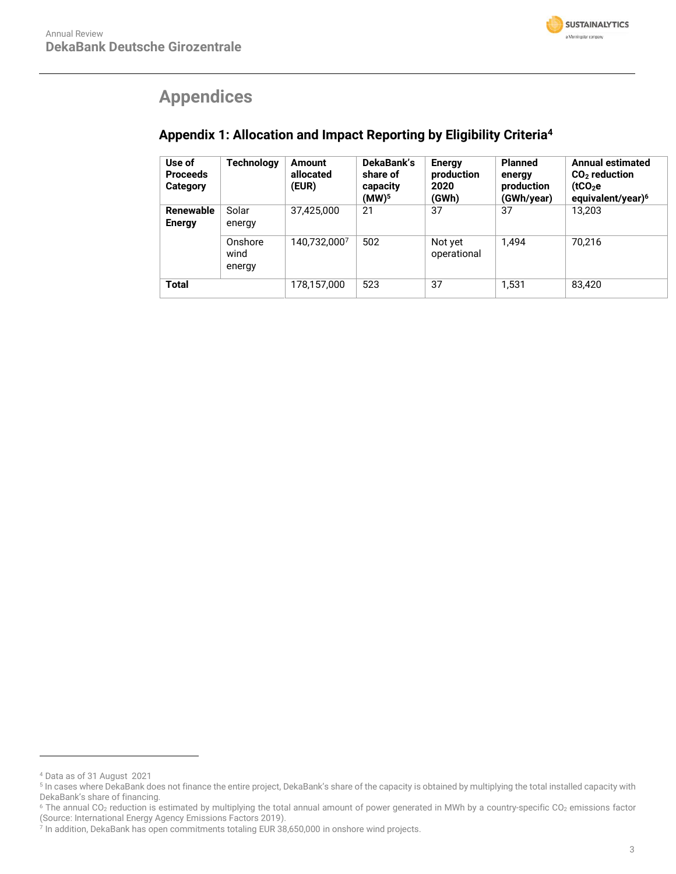

## **Appendices**

### **Appendix 1: Allocation and Impact Reporting by Eligibility Criteria<sup>4</sup>**

| Use of<br><b>Proceeds</b><br>Category | <b>Technology</b>         | <b>Amount</b><br>allocated<br>(EUR) | DekaBank's<br>share of<br>capacity<br>(MW) <sup>5</sup> | <b>Energy</b><br>production<br>2020<br>(GWh) | <b>Planned</b><br>energy<br>production<br>(GWh/year) | <b>Annual estimated</b><br>$CO2$ reduction<br>(tCO <sub>2</sub> e)<br>equivalent/year) <sup>6</sup> |
|---------------------------------------|---------------------------|-------------------------------------|---------------------------------------------------------|----------------------------------------------|------------------------------------------------------|-----------------------------------------------------------------------------------------------------|
| Renewable<br><b>Energy</b>            | Solar<br>energy           | 37.425.000                          | 21                                                      | 37                                           | 37                                                   | 13.203                                                                                              |
|                                       | Onshore<br>wind<br>energy | 140.732.0007                        | 502                                                     | Not yet<br>operational                       | 1.494                                                | 70.216                                                                                              |
| Total                                 |                           | 178,157,000                         | 523                                                     | 37                                           | 1,531                                                | 83.420                                                                                              |

<sup>4</sup> Data as of 31 August 2021

<sup>5</sup> In cases where DekaBank does not finance the entire project, DekaBank's share of the capacity is obtained by multiplying the total installed capacity with DekaBank's share of financing.

<sup>&</sup>lt;sup>6</sup> The annual CO<sub>2</sub> reduction is estimated by multiplying the total annual amount of power generated in MWh by a country-specific CO<sub>2</sub> emissions factor

<sup>(</sup>Source: International Energy Agency Emissions Factors 2019). 7 In addition, DekaBank has open commitments totaling EUR 38,650,000 in onshore wind projects.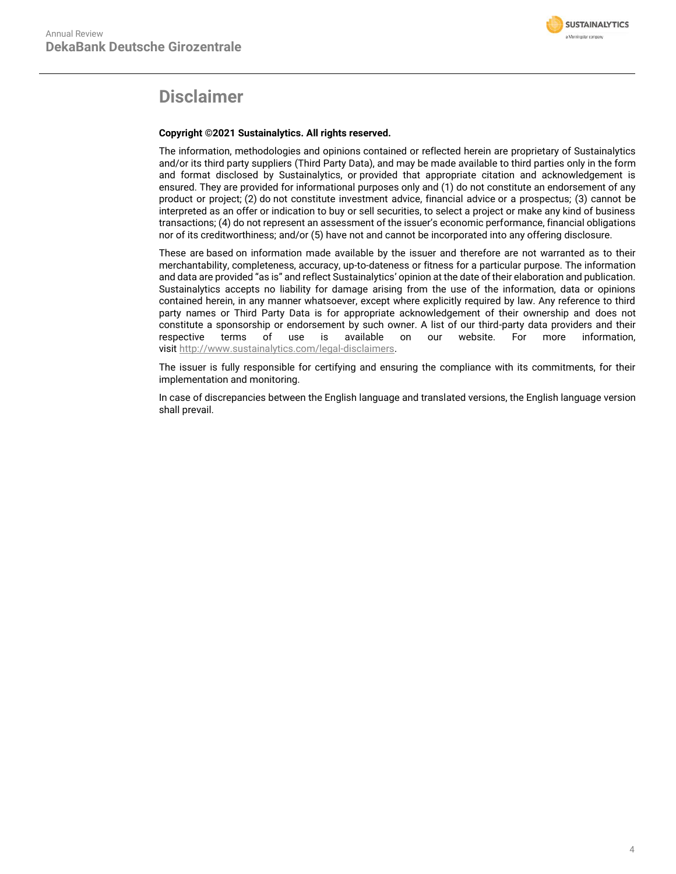

## **Disclaimer**

#### **Copyright ©2021 Sustainalytics. All rights reserved.**

The information, methodologies and opinions contained or reflected herein are proprietary of Sustainalytics and/or its third party suppliers (Third Party Data), and may be made available to third parties only in the form and format disclosed by Sustainalytics, or provided that appropriate citation and acknowledgement is ensured. They are provided for informational purposes only and (1) do not constitute an endorsement of any product or project; (2) do not constitute investment advice, financial advice or a prospectus; (3) cannot be interpreted as an offer or indication to buy or sell securities, to select a project or make any kind of business transactions; (4) do not represent an assessment of the issuer's economic performance, financial obligations nor of its creditworthiness; and/or (5) have not and cannot be incorporated into any offering disclosure.

These are based on information made available by the issuer and therefore are not warranted as to their merchantability, completeness, accuracy, up-to-dateness or fitness for a particular purpose. The information and data are provided "as is" and reflect Sustainalytics' opinion at the date of their elaboration and publication. Sustainalytics accepts no liability for damage arising from the use of the information, data or opinions contained herein, in any manner whatsoever, except where explicitly required by law. Any reference to third party names or Third Party Data is for appropriate acknowledgement of their ownership and does not constitute a sponsorship or endorsement by such owner. A list of our third-party data providers and their respective terms of use is available on our website. For more information, visit [http://www.sustainalytics.com/legal-disclaimers.](http://www.sustainalytics.com/legal-disclaimers)

The issuer is fully responsible for certifying and ensuring the compliance with its commitments, for their implementation and monitoring.

In case of discrepancies between the English language and translated versions, the English language version shall prevail.